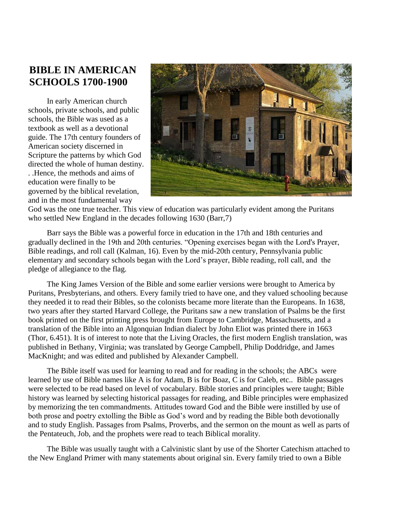## **BIBLE IN AMERICAN SCHOOLS 1700-1900**

In early American church schools, private schools, and public schools, the Bible was used as a textbook as well as a devotional guide. The 17th century founders of American society discerned in Scripture the patterns by which God directed the whole of human destiny. . .Hence, the methods and aims of education were finally to be governed by the biblical revelation, and in the most fundamental way



God was the one true teacher. This view of education was particularly evident among the Puritans who settled New England in the decades following 1630 (Barr, 7)

Barr says the Bible was a powerful force in education in the 17th and 18th centuries and gradually declined in the 19th and 20th centuries. "Opening exercises began with the Lord's Prayer, Bible readings, and roll call (Kalman, 16). Even by the mid-20th century, Pennsylvania public elementary and secondary schools began with the Lord's prayer, Bible reading, roll call, and the pledge of allegiance to the flag.

The King James Version of the Bible and some earlier versions were brought to America by Puritans, Presbyterians, and others. Every family tried to have one, and they valued schooling because they needed it to read their Bibles, so the colonists became more literate than the Europeans. In 1638, two years after they started Harvard College, the Puritans saw a new translation of Psalms be the first book printed on the first printing press brought from Europe to Cambridge, Massachusetts, and a translation of the Bible into an Algonquian Indian dialect by John Eliot was printed there in 1663 (Thor, 6.451). It is of interest to note that the Living Oracles, the first modern English translation, was published in Bethany, Virginia; was translated by George Campbell, Philip Doddridge, and James MacKnight; and was edited and published by Alexander Campbell.

The Bible itself was used for learning to read and for reading in the schools; the ABCs were learned by use of Bible names like A is for Adam, B is for Boaz, C is for Caleb, etc.. Bible passages were selected to be read based on level of vocabulary. Bible stories and principles were taught; Bible history was learned by selecting historical passages for reading, and Bible principles were emphasized by memorizing the ten commandments. Attitudes toward God and the Bible were instilled by use of both prose and poetry extolling the Bible as God's word and by reading the Bible both devotionally and to study English. Passages from Psalms, Proverbs, and the sermon on the mount as well as parts of the Pentateuch, Job, and the prophets were read to teach Biblical morality.

The Bible was usually taught with a Calvinistic slant by use of the Shorter Catechism attached to the New England Primer with many statements about original sin. Every family tried to own a Bible